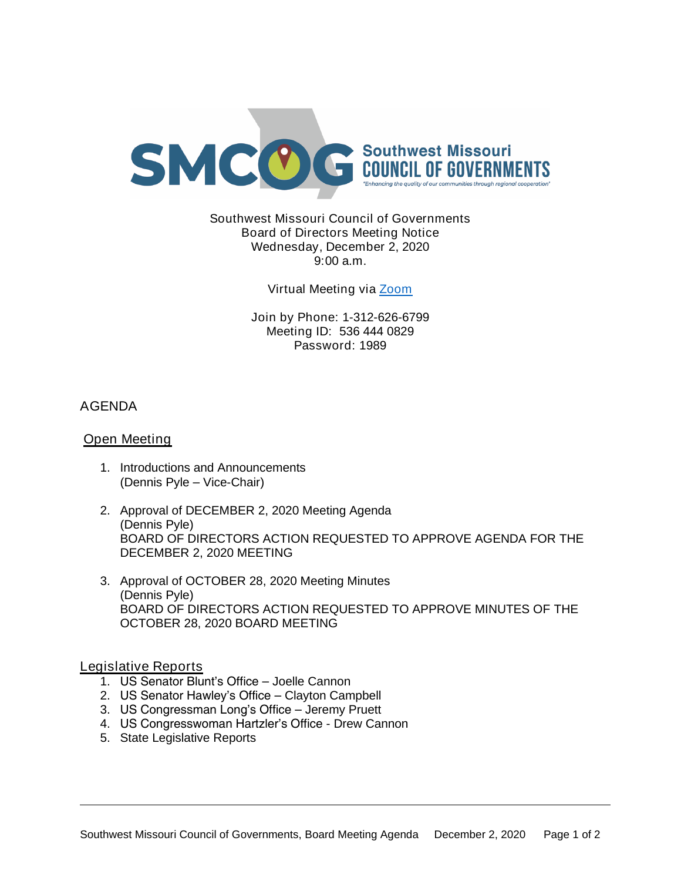

Southwest Missouri Council of Governments Board of Directors Meeting Notice Wednesday, December 2, 2020 9:00 a.m.

Virtual Meeting via [Zoom](https://missouristate.zoom.us/j/5364440829?pwd=MlUzbmJKSXllVENpRndadjlEMThmZz09)

Join by Phone: 1-312-626-6799 Meeting ID: 536 444 0829 Password: 1989

# AGENDA

## Open Meeting

- 1. Introductions and Announcements (Dennis Pyle – Vice-Chair)
- 2. Approval of DECEMBER 2, 2020 Meeting Agenda (Dennis Pyle) BOARD OF DIRECTORS ACTION REQUESTED TO APPROVE AGENDA FOR THE DECEMBER 2, 2020 MEETING
- 3. Approval of OCTOBER 28, 2020 Meeting Minutes (Dennis Pyle) BOARD OF DIRECTORS ACTION REQUESTED TO APPROVE MINUTES OF THE OCTOBER 28, 2020 BOARD MEETING

### Legislative Reports

- 1. US Senator Blunt's Office Joelle Cannon
- 2. US Senator Hawley's Office Clayton Campbell
- 3. US Congressman Long's Office Jeremy Pruett
- 4. US Congresswoman Hartzler's Office Drew Cannon
- 5. State Legislative Reports